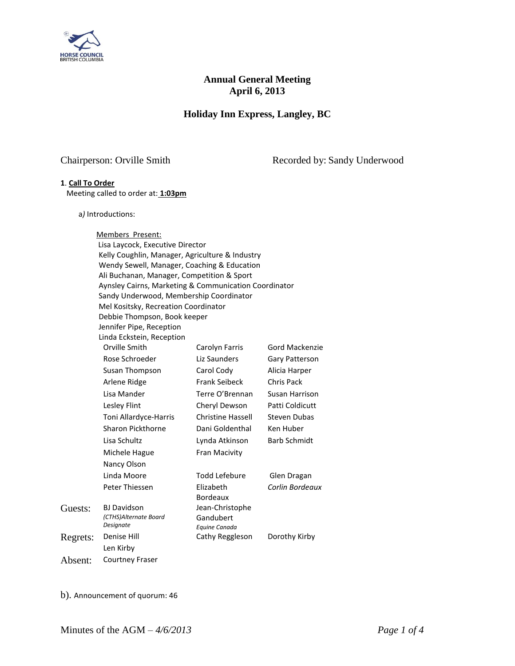

### **Annual General Meeting April 6, 2013**

### **Holiday Inn Express, Langley, BC**

Chairperson: Orville Smith Recorded by: Sandy Underwood

### **1**. **Call To Order**

Meeting called to order at: **1:03pm**

a*)* Introductions:

|          | Members Present:                                         |                                               |                     |
|----------|----------------------------------------------------------|-----------------------------------------------|---------------------|
|          | Lisa Laycock, Executive Director                         |                                               |                     |
|          | Kelly Coughlin, Manager, Agriculture & Industry          |                                               |                     |
|          | Wendy Sewell, Manager, Coaching & Education              |                                               |                     |
|          | Ali Buchanan, Manager, Competition & Sport               |                                               |                     |
|          | Aynsley Cairns, Marketing & Communication Coordinator    |                                               |                     |
|          | Sandy Underwood, Membership Coordinator                  |                                               |                     |
|          | Mel Kositsky, Recreation Coordinator                     |                                               |                     |
|          | Debbie Thompson, Book keeper                             |                                               |                     |
|          | Jennifer Pipe, Reception                                 |                                               |                     |
|          | Linda Eckstein, Reception<br>Orville Smith               |                                               |                     |
|          |                                                          | Carolyn Farris                                | Gord Mackenzie      |
|          | Rose Schroeder                                           | Liz Saunders                                  | Gary Patterson      |
|          | Susan Thompson                                           | Carol Cody                                    | Alicia Harper       |
|          | Arlene Ridge                                             | <b>Frank Seibeck</b>                          | Chris Pack          |
|          | Lisa Mander                                              | Terre O'Brennan                               | Susan Harrison      |
|          | Lesley Flint                                             | Cheryl Dewson                                 | Patti Coldicutt     |
|          | Toni Allardyce-Harris                                    | <b>Christine Hassell</b>                      | <b>Steven Dubas</b> |
|          | Sharon Pickthorne                                        | Dani Goldenthal                               | Ken Huber           |
|          | Lisa Schultz                                             | Lynda Atkinson                                | <b>Barb Schmidt</b> |
|          | Michele Hague                                            | Fran Macivity                                 |                     |
|          | Nancy Olson                                              |                                               |                     |
|          | Linda Moore                                              | Todd Lefebure                                 | Glen Dragan         |
|          | Peter Thiessen                                           | Elizabeth<br><b>Bordeaux</b>                  | Corlin Bordeaux     |
| Guests:  | <b>BJ Davidson</b><br>(CTHS)Alternate Board<br>Designate | Jean-Christophe<br>Gandubert<br>Equine Canada |                     |
| Regrets: | Denise Hill                                              | Cathy Reggleson                               | Dorothy Kirby       |
|          | Len Kirby                                                |                                               |                     |
| Absent:  | <b>Courtney Fraser</b>                                   |                                               |                     |

b). Announcement of quorum: 46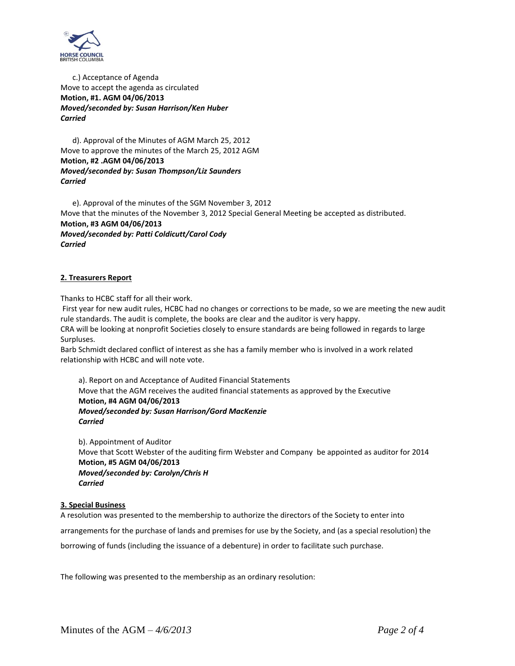

c.) Acceptance of Agenda Move to accept the agenda as circulated **Motion, #1. AGM 04/06/2013** *Moved/seconded by: Susan Harrison/Ken Huber Carried*

d). Approval of the Minutes of AGM March 25, 2012 Move to approve the minutes of the March 25, 2012 AGM **Motion, #2 .AGM 04/06/2013** *Moved/seconded by: Susan Thompson/Liz Saunders Carried*

e). Approval of the minutes of the SGM November 3, 2012 Move that the minutes of the November 3, 2012 Special General Meeting be accepted as distributed. **Motion, #3 AGM 04/06/2013** *Moved/seconded by: Patti Coldicutt/Carol Cody Carried*

### **2. Treasurers Report**

Thanks to HCBC staff for all their work.

First year for new audit rules, HCBC had no changes or corrections to be made, so we are meeting the new audit rule standards. The audit is complete, the books are clear and the auditor is very happy. CRA will be looking at nonprofit Societies closely to ensure standards are being followed in regards to large

Surpluses.

Barb Schmidt declared conflict of interest as she has a family member who is involved in a work related relationship with HCBC and will note vote.

a). Report on and Acceptance of Audited Financial Statements Move that the AGM receives the audited financial statements as approved by the Executive **Motion, #4 AGM 04/06/2013** *Moved/seconded by: Susan Harrison/Gord MacKenzie Carried*

b). Appointment of Auditor Move that Scott Webster of the auditing firm Webster and Company be appointed as auditor for 2014 **Motion, #5 AGM 04/06/2013** *Moved/seconded by: Carolyn/Chris H Carried*

#### **3. Special Business**

A resolution was presented to the membership to authorize the directors of the Society to enter into

arrangements for the purchase of lands and premises for use by the Society, and (as a special resolution) the

borrowing of funds (including the issuance of a debenture) in order to facilitate such purchase.

The following was presented to the membership as an ordinary resolution: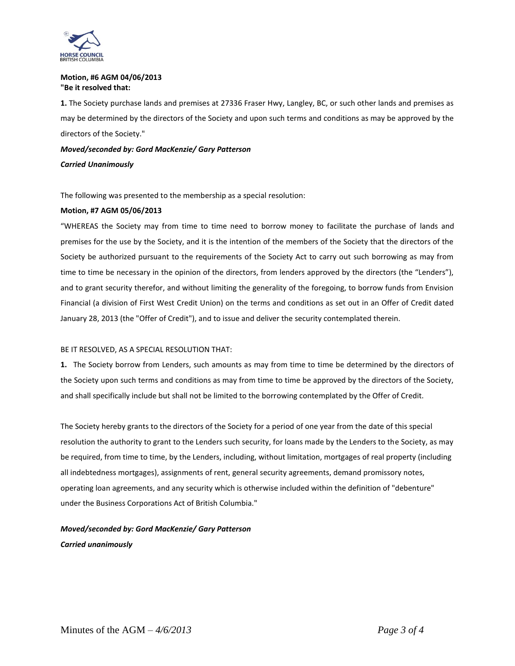

### **Motion, #6 AGM 04/06/2013 "Be it resolved that:**

**1.** The Society purchase lands and premises at 27336 Fraser Hwy, Langley, BC, or such other lands and premises as may be determined by the directors of the Society and upon such terms and conditions as may be approved by the directors of the Society."

*Moved/seconded by: Gord MacKenzie/ Gary Patterson Carried Unanimously*

The following was presented to the membership as a special resolution:

#### **Motion, #7 AGM 05/06/2013**

"WHEREAS the Society may from time to time need to borrow money to facilitate the purchase of lands and premises for the use by the Society, and it is the intention of the members of the Society that the directors of the Society be authorized pursuant to the requirements of the Society Act to carry out such borrowing as may from time to time be necessary in the opinion of the directors, from lenders approved by the directors (the "Lenders"), and to grant security therefor, and without limiting the generality of the foregoing, to borrow funds from Envision Financial (a division of First West Credit Union) on the terms and conditions as set out in an Offer of Credit dated January 28, 2013 (the "Offer of Credit"), and to issue and deliver the security contemplated therein.

### BE IT RESOLVED, AS A SPECIAL RESOLUTION THAT:

**1.** The Society borrow from Lenders, such amounts as may from time to time be determined by the directors of the Society upon such terms and conditions as may from time to time be approved by the directors of the Society, and shall specifically include but shall not be limited to the borrowing contemplated by the Offer of Credit.

The Society hereby grants to the directors of the Society for a period of one year from the date of this special resolution the authority to grant to the Lenders such security, for loans made by the Lenders to the Society, as may be required, from time to time, by the Lenders, including, without limitation, mortgages of real property (including all indebtedness mortgages), assignments of rent, general security agreements, demand promissory notes, operating loan agreements, and any security which is otherwise included within the definition of "debenture" under the Business Corporations Act of British Columbia."

### *Moved/seconded by: Gord MacKenzie/ Gary Patterson Carried unanimously*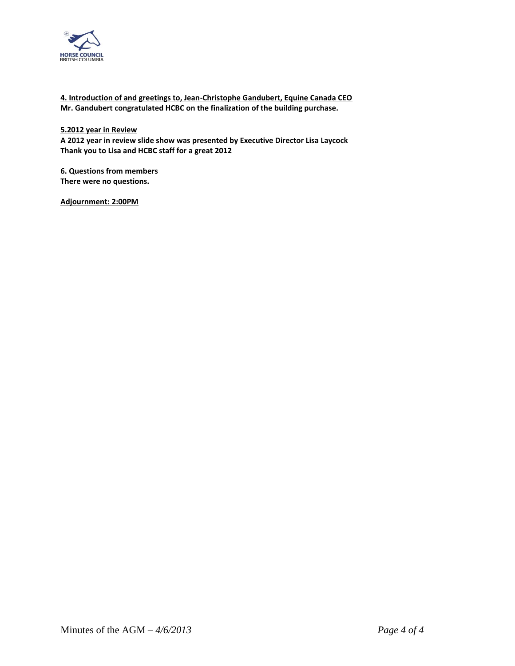

**4. Introduction of and greetings to, Jean-Christophe Gandubert, Equine Canada CEO Mr. Gandubert congratulated HCBC on the finalization of the building purchase.**

**5.2012 year in Review A 2012 year in review slide show was presented by Executive Director Lisa Laycock Thank you to Lisa and HCBC staff for a great 2012**

**6. Questions from members There were no questions.** 

**Adjournment: 2:00PM**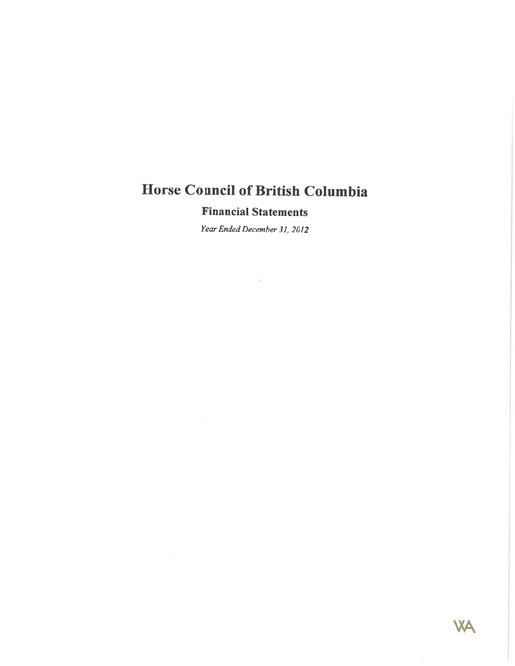## **Financial Statements**

Year Ended December 31, 2012

 $\infty$  .

**WA**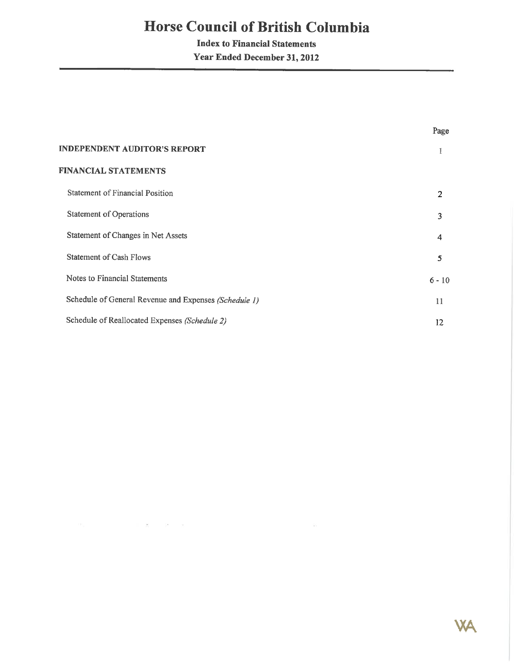**Index to Financial Statements** Year Ended December 31, 2012

|                                                       | Page           |
|-------------------------------------------------------|----------------|
| <b>INDEPENDENT AUDITOR'S REPORT</b>                   |                |
| <b>FINANCIAL STATEMENTS</b>                           |                |
| <b>Statement of Financial Position</b>                | $\overline{2}$ |
| <b>Statement of Operations</b>                        | 3              |
| Statement of Changes in Net Assets                    | 4              |
| <b>Statement of Cash Flows</b>                        | 5              |
| Notes to Financial Statements                         | $6 - 10$       |
| Schedule of General Revenue and Expenses (Schedule 1) | 11             |
| Schedule of Reallocated Expenses (Schedule 2)         | 12             |
|                                                       |                |

 $\label{eq:1.1} \mathcal{D}_0 = \mathcal{D}_1 \oplus \mathcal{D}_2 \oplus \mathcal{D}_3 \oplus \mathcal{D}_4 \oplus \mathcal{D}_5 \oplus \mathcal{D}_6 \oplus \mathcal{D}_7 \oplus \mathcal{D}_8$ 

**WA**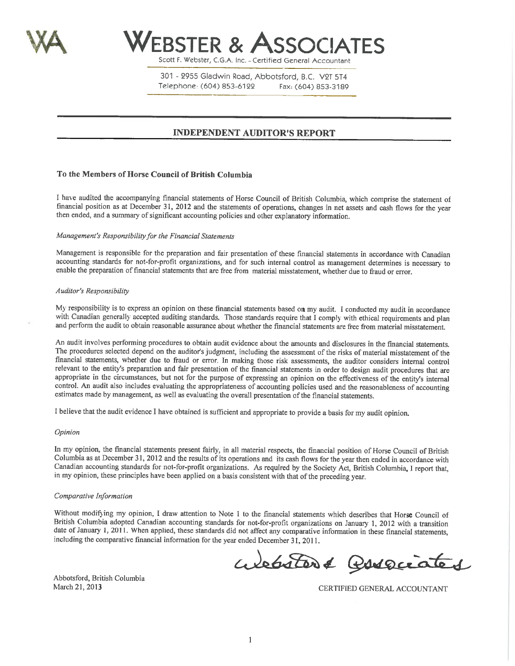



Scott F. Webster, C.G.A. Inc. - Certified General Accountant

301 - 2955 Gladwin Road, Abbotsford, B.C. V2T 5T4 Telephone: (604) 853-6122 Fax: (604) 853-3189

### **INDEPENDENT AUDITOR'S REPORT**

#### To the Members of Horse Council of British Columbia

I have audited the accompanying financial statements of Horse Council of British Columbia, which comprise the statement of financial position as at December 31, 2012 and the statements of operations, changes in net assets and cash flows for the year then ended, and a summary of significant accounting policies and other explanatory information.

#### Management's Responsibility for the Financial Statements

Management is responsible for the preparation and fair presentation of these financial statements in accordance with Canadian accounting standards for not-for-profit organizations, and for such internal control as management determines is necessary to enable the preparation of financial statements that are free from material misstatement, whether due to fraud or error.

#### Auditor's Responsibility

My responsibility is to express an opinion on these financial statements based on my audit. I conducted my audit in accordance with Canadian generally accepted auditing standards. Those standards require that I comply with ethical requirements and plan and perform the audit to obtain reasonable assurance about whether the financial statements are free from material misstatement.

An audit involves performing procedures to obtain audit evidence about the amounts and disclosures in the financial statements. The procedures selected depend on the auditor's judgment, including the assessment of the risks of material misstatement of the financial statements, whether due to fraud or error. In making those risk assessments, the auditor considers internal control relevant to the entity's preparation and fair presentation of the financial statements in order to design audit procedures that are appropriate in the circumstances, but not for the purpose of expressing an opinion on the effectiveness of the entity's internal control. An audit also includes evaluating the appropriateness of accounting policies used and the reasonableness of accounting estimates made by management, as well as evaluating the overall presentation of the financial statements.

I believe that the audit evidence I have obtained is sufficient and appropriate to provide a basis for my audit opinion.

#### Opinion

In my opinion, the financial statements present fairly, in all material respects, the financial position of Horse Council of British Columbia as at December 31, 2012 and the results of its operations and its cash flows for the year then ended in accordance with Canadian accounting standards for not-for-profit organizations. As required by the Society Act, British Columbia, I report that, in my opinion, these principles have been applied on a basis consistent with that of the preceding year.

#### Comparative Information

Without modifying my opinion, I draw attention to Note 1 to the financial statements which describes that Horse Council of British Columbia adopted Canadian accounting standards for not-for-profit organizations on January 1, 2012 with a transition date of January 1, 2011. When applied, these standards did not affect any comparative information in these financial statements, including the comparative financial information for the year ended December 31, 2011.

abster& Posseiates

Abbotsford, British Columbia March 21, 2013

CERTIFIED GENERAL ACCOUNTANT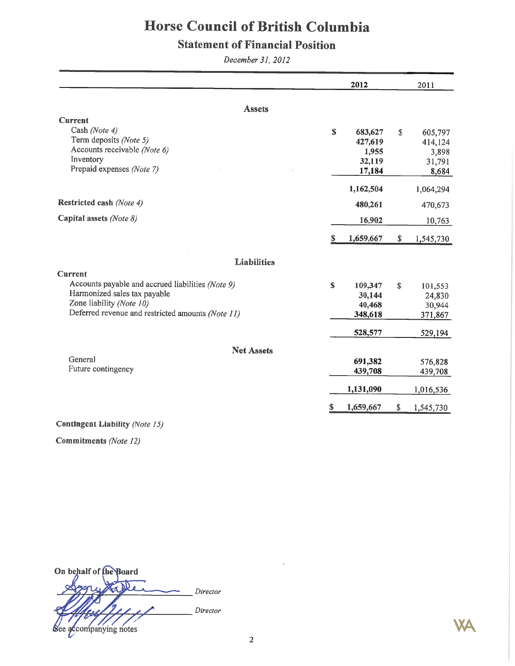## **Statement of Financial Position**

December 31, 2012

|                                                   |               | 2012      |     | 2011      |
|---------------------------------------------------|---------------|-----------|-----|-----------|
| <b>Assets</b>                                     |               |           |     |           |
| Current                                           |               |           |     |           |
| Cash (Note 4)                                     | ${\mathbb S}$ | 683,627   | \$. | 605,797   |
| Term deposits (Note 5)                            |               | 427,619   |     | 414,124   |
| Accounts receivable (Note 6)                      |               | 1,955     |     | 3,898     |
| Inventory                                         |               | 32,119    |     | 31,791    |
| Prepaid expenses (Note 7)                         |               | 17,184    |     | 8,684     |
|                                                   |               | 1,162,504 |     | 1,064,294 |
| Restricted cash (Note 4)                          |               | 480,261   |     | 470,673   |
| Capital assets (Note 8)                           |               | 16,902    |     | 10,763    |
|                                                   | S             | 1,659,667 | \$  | 1,545,730 |
|                                                   |               |           |     |           |
| <b>Liabilities</b>                                |               |           |     |           |
| <b>Current</b>                                    |               |           |     |           |
| Accounts payable and accrued liabilities (Note 9) | $\mathbb{S}$  | 109,347   | \$  | 101,553   |
| Harmonized sales tax payable                      |               | 30,144    |     | 24,830    |
| Zone liability (Note 10)                          |               | 40,468    |     | 30,944    |
| Deferred revenue and restricted amounts (Note 11) |               | 348,618   |     | 371,867   |
|                                                   |               | 528,577   |     | 529,194   |
| <b>Net Assets</b>                                 |               |           |     |           |
| General                                           |               | 691,382   |     | 576,828   |
| Future contingency                                |               | 439,708   |     | 439,708   |
|                                                   |               | 1,131,090 |     | 1,016,536 |
|                                                   |               | 1,659,667 | \$  | 1,545,730 |
| <b><i>A</i> T A B B B B B B B</b>                 |               |           |     |           |

### **Contingent Liability (Note 15)**

Commitments (Note 12)

| On behalf of the Board |          |
|------------------------|----------|
|                        | Director |
|                        | Director |
| See accompanying notes |          |
|                        |          |



j.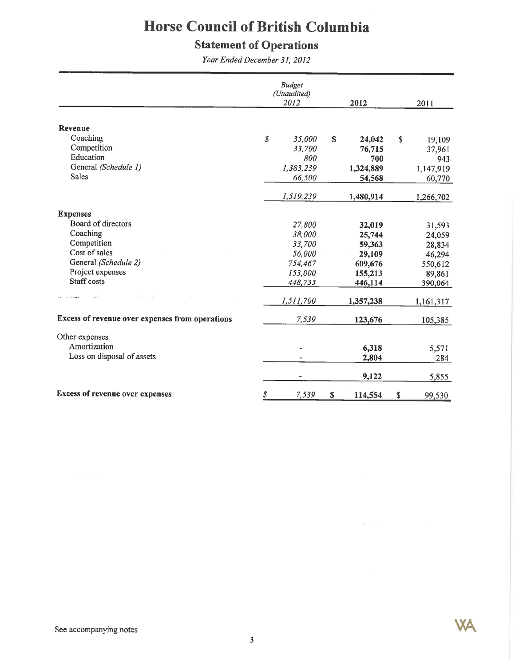## **Statement of Operations**

Year Ended December 31, 2012

|                                                 |              | <b>Budget</b><br>(Unaudited)<br>2012 |             | 2012      | 2011         |
|-------------------------------------------------|--------------|--------------------------------------|-------------|-----------|--------------|
|                                                 |              |                                      |             |           |              |
| Revenue                                         |              |                                      |             |           |              |
| Coaching                                        | $\mathcal S$ | 35,000                               | $\mathbf S$ | 24,042    | \$<br>19,109 |
| Competition<br>Education                        |              | 33,700                               |             | 76,715    | 37,961       |
| General (Schedule 1)                            |              | 800                                  |             | 700       | 943          |
| <b>Sales</b>                                    |              | 1,383,239                            |             | 1,324,889 | 1,147,919    |
|                                                 |              | 66,500                               |             | 54,568    | 60,770       |
|                                                 |              | 1,519,239                            |             | 1,480,914 | 1,266,702    |
| <b>Expenses</b>                                 |              |                                      |             |           |              |
| Board of directors                              |              | 27,800                               |             | 32,019    | 31,593       |
| Coaching                                        |              | 38,000                               |             | 25,744    | 24,059       |
| Competition                                     |              | 33,700                               |             | 59,363    | 28,834       |
| Cost of sales                                   |              | 56,000                               |             | 29,109    | 46,294       |
| General (Schedule 2)                            |              | 754,467                              |             | 609,676   | 550,612      |
| Project expenses                                |              | 153,000                              |             | 155,213   | 89,861       |
| Staff costs                                     |              | 448,733                              |             | 446,114   | 390,064      |
| all stores                                      |              | 1,511,700                            |             | 1,357,238 | 1,161,317    |
| Excess of revenue over expenses from operations |              | 7,539                                |             | 123,676   | 105,385      |
| Other expenses                                  |              |                                      |             |           |              |
| Amortization                                    |              |                                      |             | 6,318     | 5,571        |
| Loss on disposal of assets                      |              |                                      |             | 2,804     | 284          |
|                                                 |              |                                      |             | 9,122     | 5,855        |
| <b>Excess of revenue over expenses</b>          | \$           | 7,539                                | \$          | 114,554   | \$<br>99,530 |

 $\mathcal{G}_{\mathcal{F}}$  , and  $\mathcal{G}_{\mathcal{F}}$  , and  $\mathcal{G}_{\mathcal{F}}$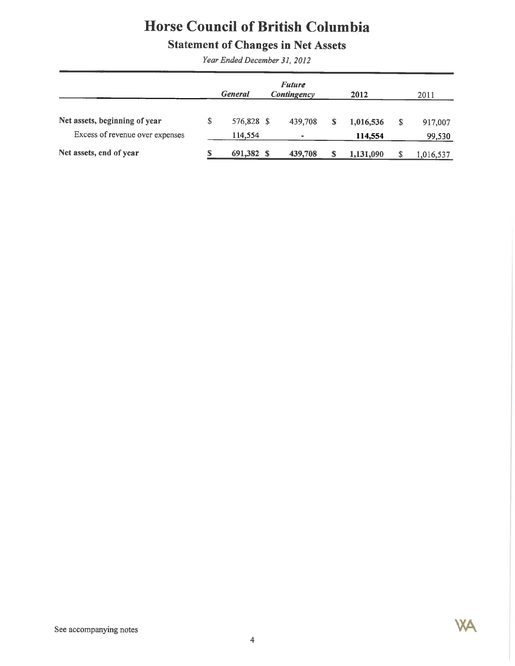## **Statement of Changes in Net Assets**

Year Ended December 31, 2012

|                                                                  | General                     | <b>Future</b><br>Contingency |   | 2012                 | 2011              |
|------------------------------------------------------------------|-----------------------------|------------------------------|---|----------------------|-------------------|
| Net assets, beginning of year<br>Excess of revenue over expenses | \$<br>576,828 \$<br>114,554 | 439,708<br>$\blacksquare$    | S | 1,016,536<br>114,554 | 917,007<br>99,530 |
| Net assets, end of year                                          | 691,382                     | 439,708                      | S | 1,131,090            | 1,016,537         |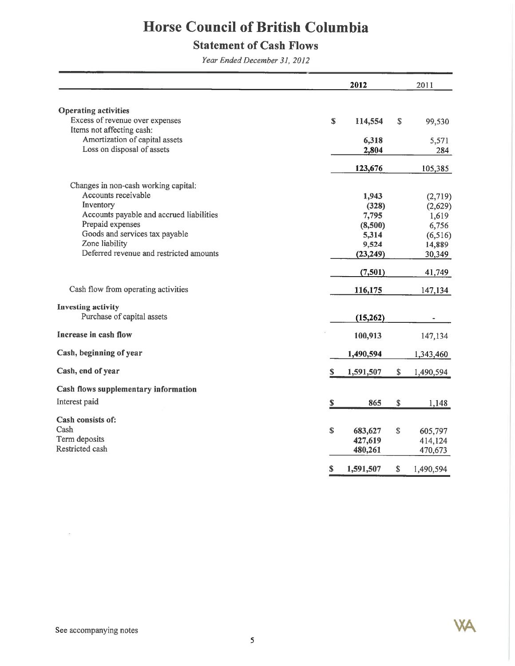## **Statement of Cash Flows**

Year Ended December 31, 2012

|                                                                |             | 2012      |    | 2011      |
|----------------------------------------------------------------|-------------|-----------|----|-----------|
|                                                                |             |           |    |           |
| <b>Operating activities</b><br>Excess of revenue over expenses | $\mathbf S$ | 114,554   | S  | 99,530    |
| Items not affecting cash:                                      |             |           |    |           |
| Amortization of capital assets                                 |             | 6,318     |    | 5,571     |
| Loss on disposal of assets                                     |             | 2,804     |    | 284       |
|                                                                |             |           |    |           |
|                                                                |             | 123,676   |    | 105,385   |
| Changes in non-cash working capital:                           |             |           |    |           |
| Accounts receivable                                            |             | 1,943     |    | (2,719)   |
| Inventory                                                      |             | (328)     |    | (2,629)   |
| Accounts payable and accrued liabilities                       |             | 7,795     |    | 1,619     |
| Prepaid expenses                                               |             | (8,500)   |    | 6,756     |
| Goods and services tax payable                                 |             | 5,314     |    | (6, 516)  |
| Zone liability                                                 |             | 9,524     |    | 14,889    |
| Deferred revenue and restricted amounts                        |             | (23, 249) |    | 30,349    |
|                                                                |             | (7,501)   |    | 41,749    |
| Cash flow from operating activities                            |             | 116,175   |    | 147,134   |
| <b>Investing activity</b>                                      |             |           |    |           |
| Purchase of capital assets                                     |             | (15,262)  |    |           |
| Increase in cash flow                                          |             | 100,913   |    | 147,134   |
| Cash, beginning of year                                        |             | 1,490,594 |    | 1,343,460 |
| Cash, end of year                                              | \$          | 1,591,507 | \$ | 1,490,594 |
| Cash flows supplementary information                           |             |           |    |           |
| Interest paid                                                  | \$          | 865       | \$ | 1,148     |
| Cash consists of:                                              |             |           |    |           |
| Cash                                                           | $\mathbf s$ | 683,627   | \$ | 605,797   |
| Term deposits                                                  |             | 427,619   |    | 414,124   |
| Restricted cash                                                |             | 480,261   |    | 470,673   |
|                                                                | S           | 1,591,507 | \$ | 1,490,594 |

 $\mathcal{F}^{\mathcal{C}}$ 

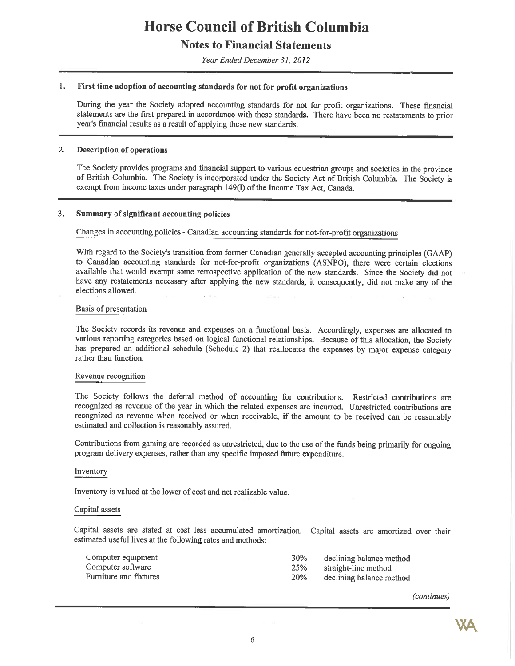## **Notes to Financial Statements**

Year Ended December 31, 2012

#### First time adoption of accounting standards for not for profit organizations 1.

During the year the Society adopted accounting standards for not for profit organizations. These financial statements are the first prepared in accordance with these standards. There have been no restatements to prior year's financial results as a result of applying these new standards.

#### $2.$ **Description of operations**

The Society provides programs and financial support to various equestrian groups and societies in the province of British Columbia. The Society is incorporated under the Society Act of British Columbia. The Society is exempt from income taxes under paragraph 149(1) of the Income Tax Act, Canada.

#### $3<sub>1</sub>$ Summary of significant accounting policies

#### Changes in accounting policies - Canadian accounting standards for not-for-profit organizations

With regard to the Society's transition from former Canadian generally accepted accounting principles (GAAP) to Canadian accounting standards for not-for-profit organizations (ASNPO), there were certain elections available that would exempt some retrospective application of the new standards. Since the Society did not have any restatements necessary after applying the new standards, it consequently, did not make any of the elections allowed.  $\mathbf{z}$  , and  $\mathbf{z}$ 

#### Basis of presentation

The Society records its revenue and expenses on a functional basis. Accordingly, expenses are allocated to various reporting categories based on logical functional relationships. Because of this allocation, the Society has prepared an additional schedule (Schedule 2) that reallocates the expenses by major expense category rather than function.

#### Revenue recognition

The Society follows the deferral method of accounting for contributions. Restricted contributions are recognized as revenue of the year in which the related expenses are incurred. Unrestricted contributions are recognized as revenue when received or when receivable, if the amount to be received can be reasonably estimated and collection is reasonably assured.

Contributions from gaming are recorded as unrestricted, due to the use of the funds being primarily for ongoing program delivery expenses, rather than any specific imposed future expenditure.

#### Inventory

Inventory is valued at the lower of cost and net realizable value.

#### Capital assets

Capital assets are stated at cost less accumulated amortization. Capital assets are amortized over their estimated useful lives at the following rates and methods:

| <b>30%</b> | declining balance method |
|------------|--------------------------|
| 25%        | straight-line method     |
| <b>20%</b> | declining balance method |
|            |                          |

(continues)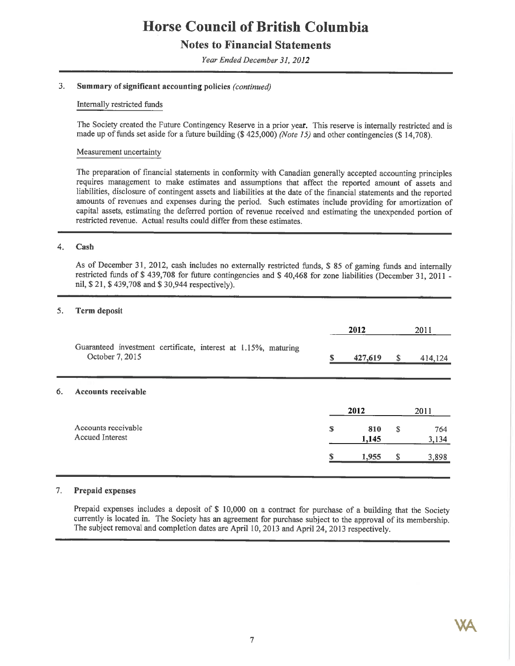## **Notes to Financial Statements**

Year Ended December 31, 2012

#### 3. Summary of significant accounting policies (continued)

#### Internally restricted funds

The Society created the Future Contingency Reserve in a prior year. This reserve is internally restricted and is made up of funds set aside for a future building (\$425,000) (Note 15) and other contingencies (\$14,708).

### Measurement uncertainty

The preparation of financial statements in conformity with Canadian generally accepted accounting principles requires management to make estimates and assumptions that affect the reported amount of assets and liabilities, disclosure of contingent assets and liabilities at the date of the financial statements and the reported amounts of revenues and expenses during the period. Such estimates include providing for amortization of capital assets, estimating the deferred portion of revenue received and estimating the unexpended portion of restricted revenue. Actual results could differ from these estimates.

#### 4. Cash

As of December 31, 2012, cash includes no externally restricted funds, \$ 85 of gaming funds and internally restricted funds of \$439,708 for future contingencies and \$40,468 for zone liabilities (December 31, 2011 nil, \$21, \$439,708 and \$30,944 respectively).

#### 5. **Term deposit**

|    |                                                                                   |    | 2012         |    | 2011         |
|----|-----------------------------------------------------------------------------------|----|--------------|----|--------------|
|    | Guaranteed investment certificate, interest at 1.15%, maturing<br>October 7, 2015 | S  | 427,619      | \$ | 414,124      |
| 6. | <b>Accounts receivable</b>                                                        |    |              |    |              |
|    |                                                                                   |    | 2012         |    | 2011         |
|    | Accounts receivable<br><b>Accued Interest</b>                                     | \$ | 810<br>1,145 | S  | 764<br>3,134 |
|    |                                                                                   | S  | 1,955        | \$ | 3,898        |

#### 7. Prepaid expenses

Prepaid expenses includes a deposit of \$ 10,000 on a contract for purchase of a building that the Society currently is located in. The Society has an agreement for purchase subject to the approval of its membership. The subject removal and completion dates are April 10, 2013 and April 24, 2013 respectively.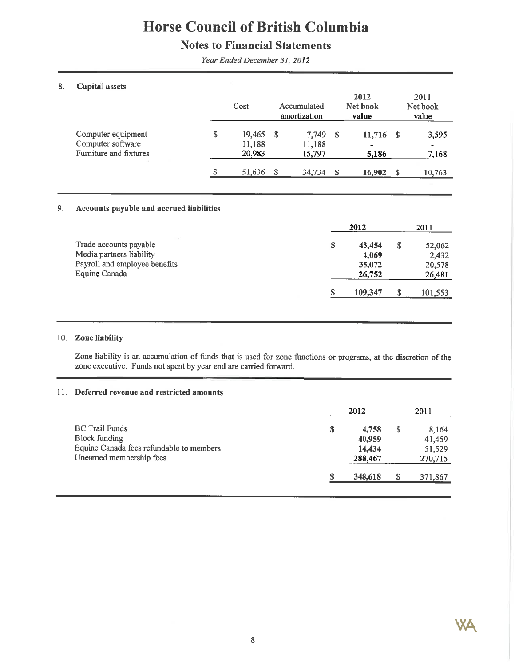## **Notes to Financial Statements**

Year Ended December 31, 2012

#### 8. Capital assets

|                                                                   | Cost                             |   | Accumulated<br>amortization |      | 2012<br>Net book<br>value         |      | 2011<br>Net book<br>value        |
|-------------------------------------------------------------------|----------------------------------|---|-----------------------------|------|-----------------------------------|------|----------------------------------|
| Computer equipment<br>Computer software<br>Furniture and fixtures | \$<br>19,465<br>11,188<br>20,983 | S | 7,749<br>11,188<br>15,797   | - \$ | 11,716<br>$\blacksquare$<br>5,186 | - \$ | 3,595<br>$\blacksquare$<br>7,168 |
|                                                                   | \$<br>51,636                     |   | 34,734                      | - \$ | 16,902                            | -S   | 10,763                           |

#### 9. Accounts payable and accrued liabilities

|                                                                                                      |   | 2012                                |    | 2011                                |
|------------------------------------------------------------------------------------------------------|---|-------------------------------------|----|-------------------------------------|
| Trade accounts payable<br>Media partners liability<br>Payroll and employee benefits<br>Equine Canada | S | 43,454<br>4.069<br>35,072<br>26,752 | \$ | 52,062<br>2,432<br>20,578<br>26,481 |
|                                                                                                      |   | 109,347                             | S  | 101,553                             |

### 10. Zone liability

Zone liability is an accumulation of funds that is used for zone functions or programs, at the discretion of the zone executive. Funds not spent by year end are carried forward.

### 11. Deferred revenue and restricted amounts

|                                                                                                                       | 2012 |                                      |   | 2011                                 |  |  |
|-----------------------------------------------------------------------------------------------------------------------|------|--------------------------------------|---|--------------------------------------|--|--|
| <b>BC</b> Trail Funds<br><b>Block funding</b><br>Equine Canada fees refundable to members<br>Unearned membership fees | S    | 4,758<br>40,959<br>14,434<br>288,467 | S | 8,164<br>41,459<br>51,529<br>270,715 |  |  |
|                                                                                                                       |      | 348,618                              | S | 371,867                              |  |  |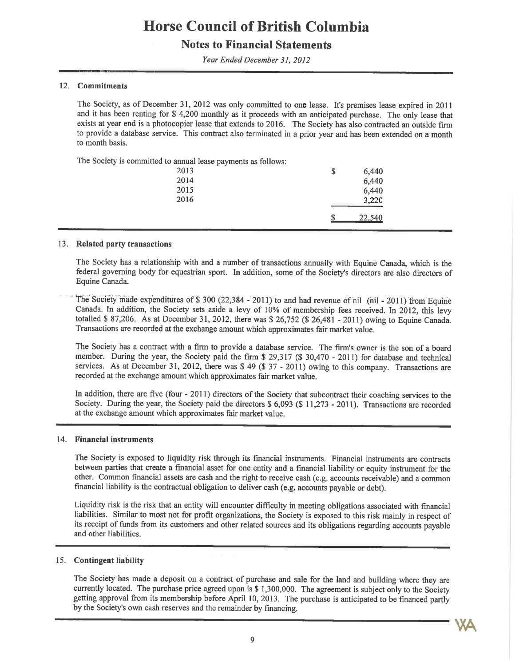## **Notes to Financial Statements**

Year Ended December 31, 2012

### 12. Commitments

The Society, as of December 31, 2012 was only committed to one lease. It's premises lease expired in 2011 and it has been renting for \$ 4,200 monthly as it proceeds with an anticipated purchase. The only lease that exists at year end is a photocopier lease that extends to 2016. The Society has also contracted an outside firm to provide a database service. This contract also terminated in a prior year and has been extended on a month to month basis.

The Society is committed to annual lease payments as follows:

|        | . .        |  |
|--------|------------|--|
| 6,440  | \$<br>2013 |  |
| 6,440  | 2014       |  |
| 6,440  | 2015       |  |
| 3,220  | 2016       |  |
|        |            |  |
| 22,540 |            |  |
|        |            |  |

#### 13. Related party transactions

The Society has a relationship with and a number of transactions annually with Equine Canada, which is the federal governing body for equestrian sport. In addition, some of the Society's directors are also directors of Equine Canada.

The Society made expenditures of \$300 (22,384 - 2011) to and had revenue of nil (nil - 2011) from Equine Canada. In addition, the Society sets aside a levy of 10% of membership fees received. In 2012, this levy totalled \$ 87,206. As at December 31, 2012, there was \$ 26,752 (\$ 26,481 - 2011) owing to Equine Canada. Transactions are recorded at the exchange amount which approximates fair market value.

The Society has a contract with a firm to provide a database service. The firm's owner is the son of a board member. During the year, the Society paid the firm \$ 29,317 (\$ 30,470 - 2011) for database and technical services. As at December 31, 2012, there was \$49 (\$37 - 2011) owing to this company. Transactions are recorded at the exchange amount which approximates fair market value.

In addition, there are five (four - 2011) directors of the Society that subcontract their coaching services to the Society. During the year, the Society paid the directors \$ 6,093 (\$ 11,273 - 2011). Transactions are recorded at the exchange amount which approximates fair market value.

#### 14. Financial instruments

The Society is exposed to liquidity risk through its financial instruments. Financial instruments are contracts between parties that create a financial asset for one entity and a financial liability or equity instrument for the other. Common financial assets are cash and the right to receive cash (e.g. accounts receivable) and a common financial liability is the contractual obligation to deliver cash (e.g. accounts payable or debt).

Liquidity risk is the risk that an entity will encounter difficulty in meeting obligations associated with financial liabilities. Similar to most not for profit organizations, the Society is exposed to this risk mainly in respect of its receipt of funds from its customers and other related sources and its obligations regarding accounts payable and other liabilities.

### 15. Contingent liability

The Society has made a deposit on a contract of purchase and sale for the land and building where they are currently located. The purchase price agreed upon is \$ 1,300,000. The agreement is subject only to the Society getting approval from its membership before April 10, 2013. The purchase is anticipated to be financed partly by the Society's own cash reserves and the remainder by financing.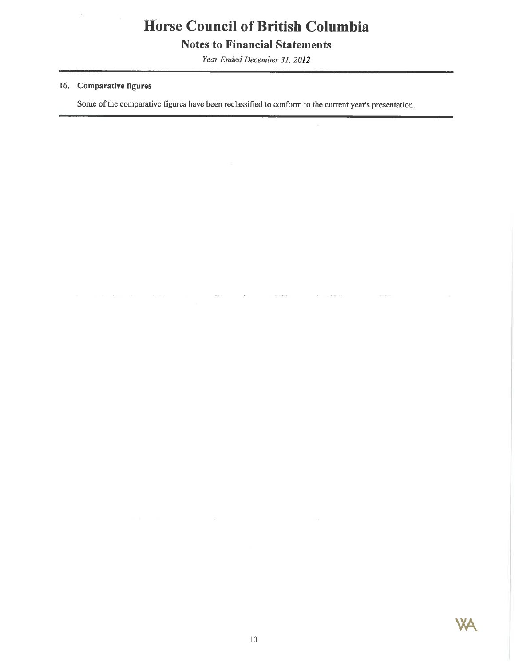## **Notes to Financial Statements**

Year Ended December 31, 2012

### 16. Comparative figures

company of the

 $\frac{1}{2} \frac{1}{2} \frac{1}{2} \frac{1}{2} \frac{1}{2} \frac{1}{2}$ 

 $\sim 10^{-11}$ 

er nom

 $\sim$  100  $\pm$ 

 $\sim$ 

Some of the comparative figures have been reclassified to conform to the current year's presentation.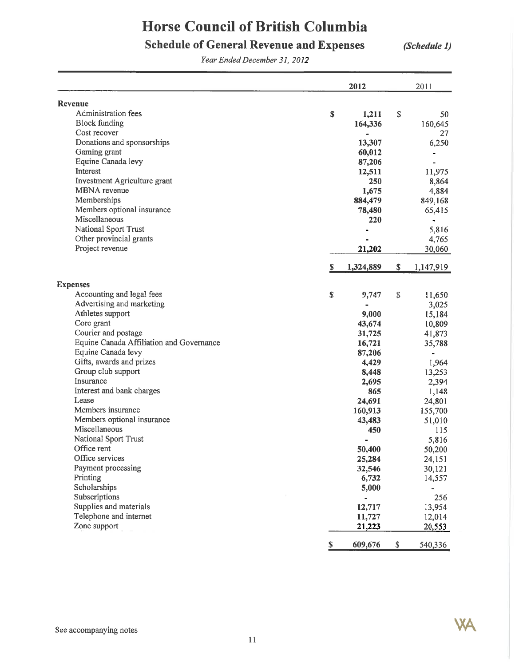## **Schedule of General Revenue and Expenses**

(Schedule 1)

Year Ended December 31, 2012

|                                          |              | 2012      | 2011            |
|------------------------------------------|--------------|-----------|-----------------|
| <b>Revenue</b>                           |              |           |                 |
| Administration fees                      | S            | 1,211     | \$<br>50        |
| <b>Block funding</b>                     |              | 164,336   | 160,645         |
| Cost recover                             |              |           | 27              |
| Donations and sponsorships               |              | 13,307    | 6,250           |
| Gaming grant                             |              | 60,012    | ٠               |
| Equine Canada levy                       |              | 87,206    |                 |
| Interest                                 |              | 12,511    | 11,975          |
| Investment Agriculture grant             |              | 250       | 8,864           |
| <b>MBNA</b> revenue                      |              | 1,675     | 4,884           |
| Memberships                              |              | 884,479   | 849,168         |
| Members optional insurance               |              | 78,480    | 65,415          |
| Miscellaneous                            |              | 220       | -               |
| National Sport Trust                     |              |           | 5,816           |
| Other provincial grants                  |              |           | 4,765           |
| Project revenue                          |              | 21,202    | 30,060          |
|                                          | S            | 1,324,889 | \$<br>1,147,919 |
| <b>Expenses</b>                          |              |           |                 |
| Accounting and legal fees                | $\mathbb{S}$ |           | \$              |
| Advertising and marketing                |              | 9,747     | 11,650<br>3,025 |
| Athletes support                         |              | 9,000     |                 |
| Core grant                               |              |           | 15,184          |
| Courier and postage                      |              | 43,674    | 10,809          |
| Equine Canada Affiliation and Governance |              | 31,725    | 41,873          |
|                                          |              | 16,721    | 35,788          |
| Equine Canada levy                       |              | 87,206    |                 |
| Gifts, awards and prizes                 |              | 4,429     | 1,964           |
| Group club support                       |              | 8,448     | 13,253          |
| Insurance                                |              | 2,695     | 2,394           |
| Interest and bank charges                |              | 865       | 1,148           |
| Lease                                    |              | 24,691    | 24,801          |
| Members insurance                        |              | 160,913   | 155,700         |
| Members optional insurance               |              | 43,483    | 51,010          |
| Miscellaneous                            |              | 450       | 115             |
| National Sport Trust                     |              |           | 5,816           |
| Office rent                              |              | 50,400    | 50,200          |
| Office services                          |              | 25,284    | 24,151          |
| Payment processing                       |              | 32,546    | 30,121          |
| Printing                                 |              | 6,732     | 14,557          |
| Scholarships                             |              | 5,000     |                 |
| Subscriptions                            |              |           | 256             |
| Supplies and materials                   |              | 12,717    | 13,954          |
| Telephone and internet                   |              | 11,727    | 12,014          |
| Zone support                             |              | 21,223    | 20,553          |
|                                          | S            | 609,676   | \$<br>540,336   |